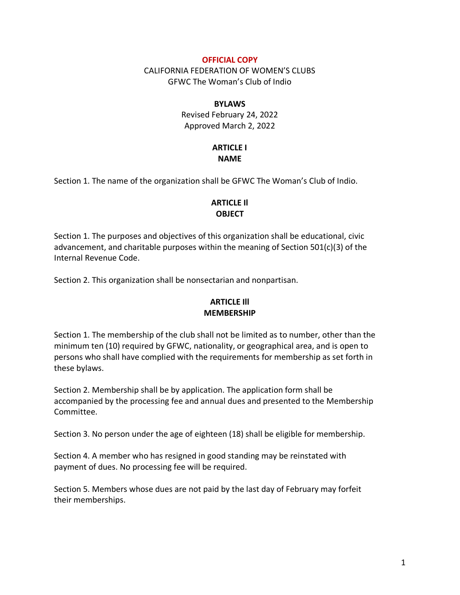#### **OFFICIAL COPY**

CALIFORNIA FEDERATION OF WOMEN'S CLUBS GFWC The Woman's Club of Indio

#### **BYLAWS**

Revised February 24, 2022 Approved March 2, 2022

#### **ARTICLE I NAME**

Section 1. The name of the organization shall be GFWC The Woman's Club of Indio.

## **ARTICLE Il OBJECT**

Section 1. The purposes and objectives of this organization shall be educational, civic advancement, and charitable purposes within the meaning of Section 501(c)(3) of the Internal Revenue Code.

Section 2. This organization shall be nonsectarian and nonpartisan.

# **ARTICLE Ill MEMBERSHIP**

Section 1. The membership of the club shall not be limited as to number, other than the minimum ten (10) required by GFWC, nationality, or geographical area, and is open to persons who shall have complied with the requirements for membership as set forth in these bylaws.

Section 2. Membership shall be by application. The application form shall be accompanied by the processing fee and annual dues and presented to the Membership Committee.

Section 3. No person under the age of eighteen (18) shall be eligible for membership.

Section 4. A member who has resigned in good standing may be reinstated with payment of dues. No processing fee will be required.

Section 5. Members whose dues are not paid by the last day of February may forfeit their memberships.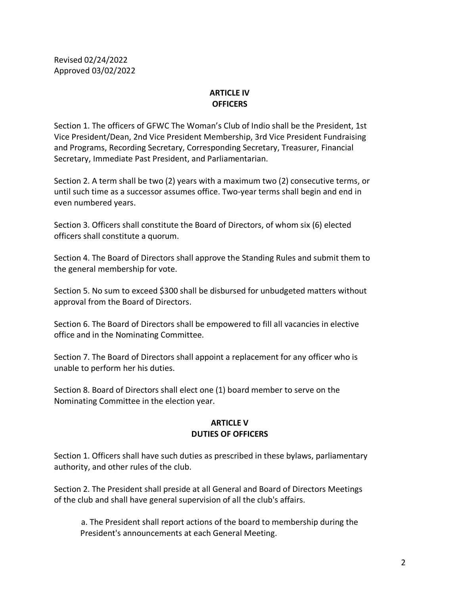## **ARTICLE IV OFFICERS**

Section 1. The officers of GFWC The Woman's Club of Indio shall be the President, 1st Vice President/Dean, 2nd Vice President Membership, 3rd Vice President Fundraising and Programs, Recording Secretary, Corresponding Secretary, Treasurer, Financial Secretary, Immediate Past President, and Parliamentarian.

Section 2. A term shall be two (2) years with a maximum two (2) consecutive terms, or until such time as a successor assumes office. Two-year terms shall begin and end in even numbered years.

Section 3. Officers shall constitute the Board of Directors, of whom six (6) elected officers shall constitute a quorum.

Section 4. The Board of Directors shall approve the Standing Rules and submit them to the general membership for vote.

Section 5. No sum to exceed \$300 shall be disbursed for unbudgeted matters without approval from the Board of Directors.

Section 6. The Board of Directors shall be empowered to fill all vacancies in elective office and in the Nominating Committee.

Section 7. The Board of Directors shall appoint a replacement for any officer who is unable to perform her his duties.

Section 8. Board of Directors shall elect one (1) board member to serve on the Nominating Committee in the election year.

### **ARTICLE V DUTIES OF OFFICERS**

Section 1. Officers shall have such duties as prescribed in these bylaws, parliamentary authority, and other rules of the club.

Section 2. The President shall preside at all General and Board of Directors Meetings of the club and shall have general supervision of all the club's affairs.

a. The President shall report actions of the board to membership during the President's announcements at each General Meeting.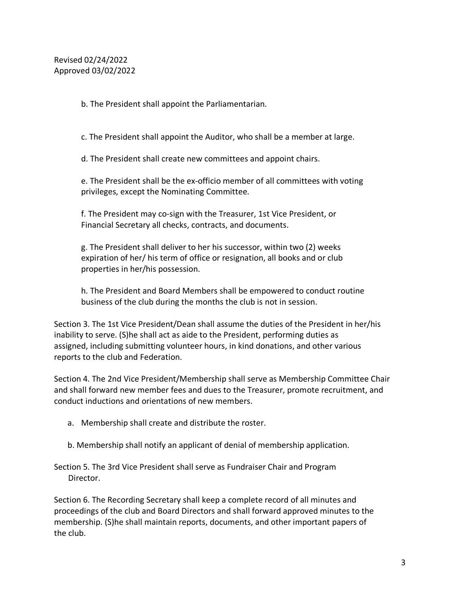b. The President shall appoint the Parliamentarian.

c. The President shall appoint the Auditor, who shall be a member at large.

d. The President shall create new committees and appoint chairs.

e. The President shall be the ex-officio member of all committees with voting privileges, except the Nominating Committee.

f. The President may co-sign with the Treasurer, 1st Vice President, or Financial Secretary all checks, contracts, and documents.

g. The President shall deliver to her his successor, within two (2) weeks expiration of her/ his term of office or resignation, all books and or club properties in her/his possession.

h. The President and Board Members shall be empowered to conduct routine business of the club during the months the club is not in session.

Section 3. The 1st Vice President/Dean shall assume the duties of the President in her/his inability to serve. (S)he shall act as aide to the President, performing duties as assigned, including submitting volunteer hours, in kind donations, and other various reports to the club and Federation.

Section 4. The 2nd Vice President/Membership shall serve as Membership Committee Chair and shall forward new member fees and dues to the Treasurer, promote recruitment, and conduct inductions and orientations of new members.

- a. Membership shall create and distribute the roster.
- b. Membership shall notify an applicant of denial of membership application.

Section 5. The 3rd Vice President shall serve as Fundraiser Chair and Program Director.

Section 6. The Recording Secretary shall keep a complete record of all minutes and proceedings of the club and Board Directors and shall forward approved minutes to the membership. (S)he shall maintain reports, documents, and other important papers of the club.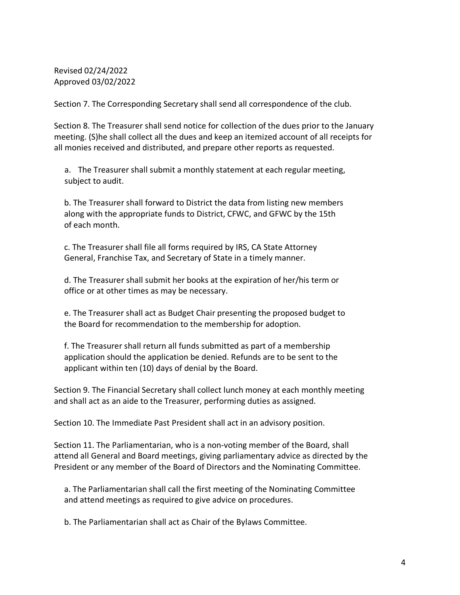Section 7. The Corresponding Secretary shall send all correspondence of the club.

Section 8. The Treasurer shall send notice for collection of the dues prior to the January meeting. (S)he shall collect all the dues and keep an itemized account of all receipts for all monies received and distributed, and prepare other reports as requested.

a. The Treasurer shall submit a monthly statement at each regular meeting, subject to audit.

 b. The Treasurer shall forward to District the data from listing new members along with the appropriate funds to District, CFWC, and GFWC by the 15th of each month.

 c. The Treasurer shall file all forms required by IRS, CA State Attorney General, Franchise Tax, and Secretary of State in a timely manner.

 d. The Treasurer shall submit her books at the expiration of her/his term or office or at other times as may be necessary.

 e. The Treasurer shall act as Budget Chair presenting the proposed budget to the Board for recommendation to the membership for adoption.

 f. The Treasurer shall return all funds submitted as part of a membership application should the application be denied. Refunds are to be sent to the applicant within ten (10) days of denial by the Board.

Section 9. The Financial Secretary shall collect lunch money at each monthly meeting and shall act as an aide to the Treasurer, performing duties as assigned.

Section 10. The Immediate Past President shall act in an advisory position.

Section 11. The Parliamentarian, who is a non-voting member of the Board, shall attend all General and Board meetings, giving parliamentary advice as directed by the President or any member of the Board of Directors and the Nominating Committee.

 a. The Parliamentarian shall call the first meeting of the Nominating Committee and attend meetings as required to give advice on procedures.

b. The Parliamentarian shall act as Chair of the Bylaws Committee.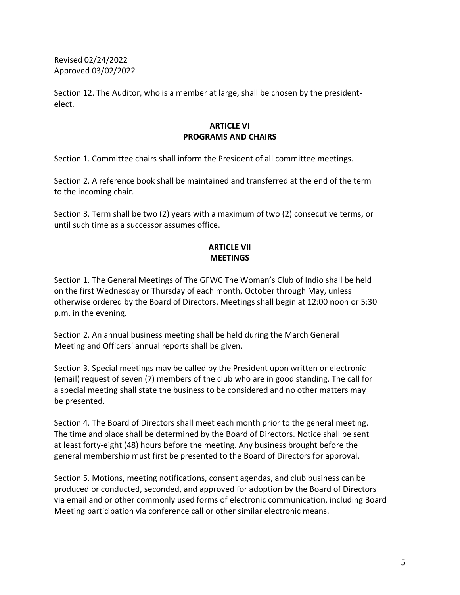Section 12. The Auditor, who is a member at large, shall be chosen by the presidentelect.

### **ARTICLE VI PROGRAMS AND CHAIRS**

Section 1. Committee chairs shall inform the President of all committee meetings.

Section 2. A reference book shall be maintained and transferred at the end of the term to the incoming chair.

Section 3. Term shall be two (2) years with a maximum of two (2) consecutive terms, or until such time as a successor assumes office.

# **ARTICLE VII MEETINGS**

Section 1. The General Meetings of The GFWC The Woman's Club of Indio shall be held on the first Wednesday or Thursday of each month, October through May, unless otherwise ordered by the Board of Directors. Meetings shall begin at 12:00 noon or 5:30 p.m. in the evening.

Section 2. An annual business meeting shall be held during the March General Meeting and Officers' annual reports shall be given.

Section 3. Special meetings may be called by the President upon written or electronic (email) request of seven (7) members of the club who are in good standing. The call for a special meeting shall state the business to be considered and no other matters may be presented.

Section 4. The Board of Directors shall meet each month prior to the general meeting. The time and place shall be determined by the Board of Directors. Notice shall be sent at least forty-eight (48) hours before the meeting. Any business brought before the general membership must first be presented to the Board of Directors for approval.

Section 5. Motions, meeting notifications, consent agendas, and club business can be produced or conducted, seconded, and approved for adoption by the Board of Directors via email and or other commonly used forms of electronic communication, including Board Meeting participation via conference call or other similar electronic means.